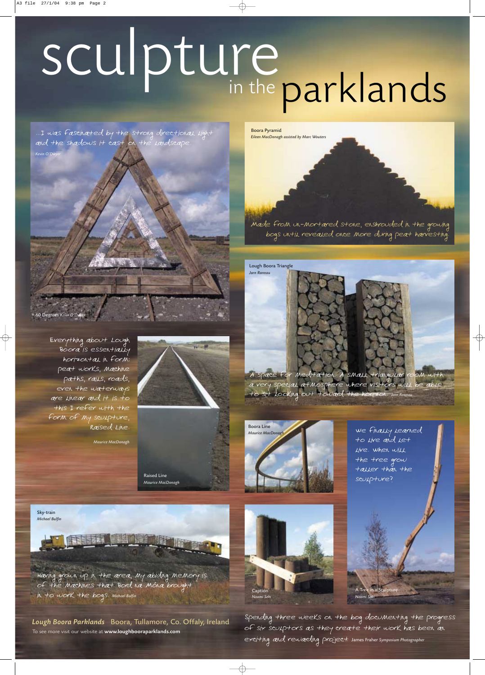

# sculpture<br>in the parklands

...I was fascinated by the strong directional light and the shadows it cast on the landscape. *Kevin O'Dwyer*



Having grown up in the area, my abiding memory is of the machines that Bord na Móna brought in to work the bogs. *Michael Bulfin*

Lough Boora Parklands Boora, Tullamore, Co. Offaly, Ireland To see more visit our website at www.loughbooraparklands.com

Made from un-mortared stone, enshrouded in the growing bogs until revealed once more during peat harvesting.

Boora Pyramid *Eileen MacDonagh assisted by Marc Wouters*

Raised Line *Maurice MacDonagh*

Everything about Lough Boora is essentially horizontal in form: peat works, machine paths, rails, roads, even the waterways are linear and it is to this I refer with the form of my sculpture, Raised Line.



*Maurice MacDonagh*

We finally learned to live and let live. When will the tree grow taller than the sculpture?

A Tree in a Sculpture *Naomi Seki*

Lough Boora Triangle *Jorn Ronnau*



A space for meditation. A small triangular room with a very special atmosphere where visitors will be able to sit looking out toward the horizon. *Jorn Ronnau*



Caption *Naomi Seki*

Spending three weeks on the bog documenting the progress of six sculptors as they create their work has been an exciting and rewarding project. James Fraher *Symposium Photographer*